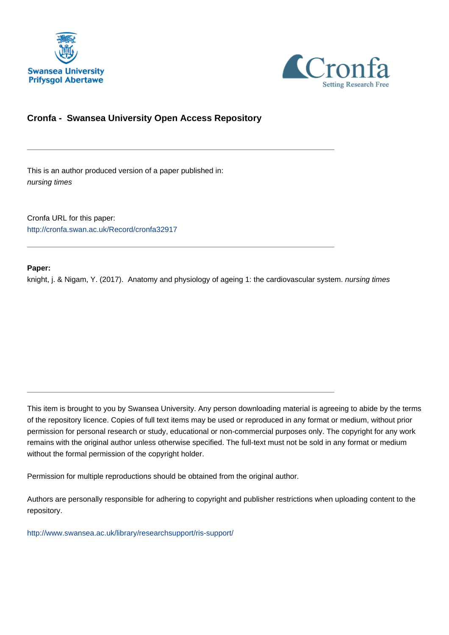



# **Cronfa - Swansea University Open Access Repository**

\_\_\_\_\_\_\_\_\_\_\_\_\_\_\_\_\_\_\_\_\_\_\_\_\_\_\_\_\_\_\_\_\_\_\_\_\_\_\_\_\_\_\_\_\_\_\_\_\_\_\_\_\_\_\_\_\_\_\_\_\_

\_\_\_\_\_\_\_\_\_\_\_\_\_\_\_\_\_\_\_\_\_\_\_\_\_\_\_\_\_\_\_\_\_\_\_\_\_\_\_\_\_\_\_\_\_\_\_\_\_\_\_\_\_\_\_\_\_\_\_\_\_

 $\_$  , and the set of the set of the set of the set of the set of the set of the set of the set of the set of the set of the set of the set of the set of the set of the set of the set of the set of the set of the set of th

This is an author produced version of a paper published in: nursing times

Cronfa URL for this paper: <http://cronfa.swan.ac.uk/Record/cronfa32917>

## **Paper:**

knight, j. & Nigam, Y. (2017). Anatomy and physiology of ageing 1: the cardiovascular system. *nursing times* 

This item is brought to you by Swansea University. Any person downloading material is agreeing to abide by the terms of the repository licence. Copies of full text items may be used or reproduced in any format or medium, without prior permission for personal research or study, educational or non-commercial purposes only. The copyright for any work remains with the original author unless otherwise specified. The full-text must not be sold in any format or medium without the formal permission of the copyright holder.

Permission for multiple reproductions should be obtained from the original author.

Authors are personally responsible for adhering to copyright and publisher restrictions when uploading content to the repository.

[http://www.swansea.ac.uk/library/researchsupport/ris-support/](http://www.swansea.ac.uk/library/researchsupport/ris-support/ )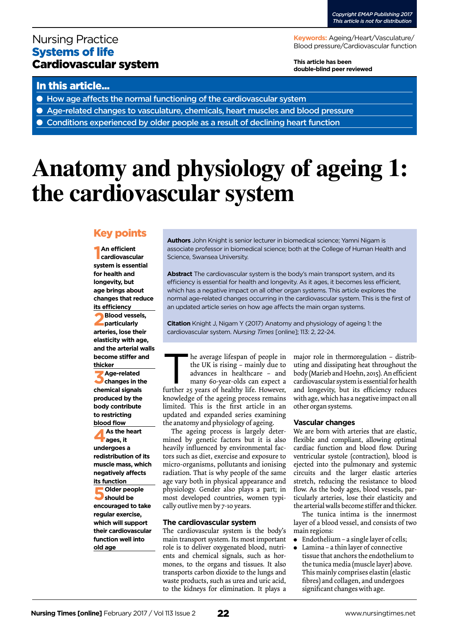# Nursing Practice Systems of life Cardiovascular system

**Keywords:** Ageing/Heart/Vasculature/ Blood pressure/Cardiovascular function

**This article has been double-blind peer reviewed**

## In this article...

- How age affects the normal functioning of the cardiovascular system
- Age-related changes to vasculature, chemicals, heart muscles and blood pressure
- Conditions experienced by older people as a result of declining heart function

# **Anatomy and physiology of ageing 1: the cardiovascular system**

# Key points

**1 An efficient cardiovascular system is essential for health and longevity, but age brings about changes that reduce its efficiency**

**2Blood vessels, particularly arteries, lose their elasticity with age, and the arterial walls become stiffer and thicker**

**3Age-related changes in the chemical signals produced by the body contribute to restricting blood flow**

**4As the heart ages, it undergoes a redistribution of its muscle mass, which negatively affects** 

**its function 5Older people should be encouraged to take regular exercise, which will support their cardiovascular function well into old age**

**Authors** John Knight is senior lecturer in biomedical science; Yamni Nigam is associate professor in biomedical science; both at the College of Human Health and Science, Swansea University.

**Abstract** The cardiovascular system is the body's main transport system, and its efficiency is essential for health and longevity. As it ages, it becomes less efficient, which has a negative impact on all other organ systems. This article explores the normal age-related changes occurring in the cardiovascular system. This is the first of an updated article series on how age affects the main organ systems.

**Citation** Knight J, Nigam Y (2017) Anatomy and physiology of ageing 1: the cardiovascular system. *Nursing Times* [online]; 113: 2, 22-24.

he average lifespan of people in<br>the UK is rising – mainly due to<br>advances in healthcare – and<br>many 60-year-olds can expect a<br>further 25 vears of healthy life. However. the UK is rising – mainly due to advances in healthcare – and many 60-year-olds can expect a

further 25 years of healthy life. However, knowledge of the ageing process remains limited. This is the first article in an updated and expanded series examining the anatomy and physiology of ageing.

The ageing process is largely determined by genetic factors but it is also heavily influenced by environmental factors such as diet, exercise and exposure to micro-organisms, pollutants and ionising radiation. That is why people of the same age vary both in physical appearance and physiology. Gender also plays a part; in most developed countries, women typically outlive men by 7-10 years.

## **The cardiovascular system**

The cardiovascular system is the body's main transport system. Its most important role is to deliver oxygenated blood, nutrients and chemical signals, such as hormones, to the organs and tissues. It also transports carbon dioxide to the lungs and waste products, such as urea and uric acid, to the kidneys for elimination. It plays a major role in thermoregulation – distributing and dissipating heat throughout the body (Marieb and Hoehn, 2015). An efficient cardiovascular system is essential for health and longevity, but its efficiency reduces with age, which has a negative impact on all other organ systems.

## **Vascular changes**

We are born with arteries that are elastic, flexible and compliant, allowing optimal cardiac function and blood flow. During ventricular systole (contraction), blood is ejected into the pulmonary and systemic circuits and the larger elastic arteries stretch, reducing the resistance to blood flow. As the body ages, blood vessels, particularly arteries, lose their elasticity and the arterial walls become stiffer and thicker.

The tunica intima is the innermost layer of a blood vessel, and consists of two main regions:

- Endothelium a single layer of cells;
- Lamina a thin layer of connective tissue that anchors the endothelium to the tunica media (muscle layer) above. This mainly comprises elastin (elastic fibres) and collagen, and undergoes significant changes with age.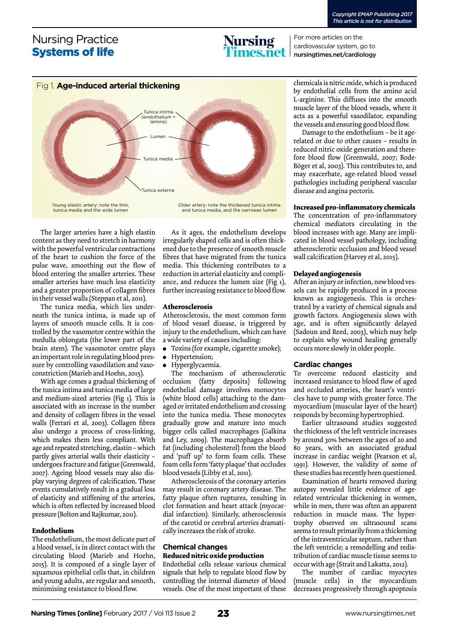# Nursing Practice Systems of life



For more articles on the cardiovascular system, go to nursingtimes.net/cardiology



Young elastic artery: note the thin, tunica media and the wide lumen

Older artery: note the thickened tunica intima and tunica media, and the narrower lumen

The larger arteries have a high elastin content as they need to stretch in harmony with the powerful ventricular contractions of the heart to cushion the force of the pulse wave, smoothing out the flow of blood entering the smaller arteries. These smaller arteries have much less elasticity and a greater proportion of collagen fibres in their vessel walls (Steppan et al, 2011).

The tunica media, which lies underneath the tunica intima, is made up of layers of smooth muscle cells. It is controlled by the vasomotor centre within the medulla oblongata (the lower part of the brain stem). The vasomotor centre plays an important role in regulating blood pressure by controlling vasodilation and vasoconstriction (Marieb and Hoehn, 2015).

With age comes a gradual thickening of the tunica intima and tunica media of large and medium-sized arteries (Fig 1). This is associated with an increase in the number and density of collagen fibres in the vessel walls (Ferrari et al, 2003). Collagen fibres also undergo a process of cross-linking, which makes them less compliant. With age and repeated stretching, elastin – which partly gives arterial walls their elasticity – undergoes fracture and fatigue (Greenwald, 2007). Ageing blood vessels may also display varying degrees of calcification. These events cumulatively result in a gradual loss of elasticity and stiffening of the arteries, which is often reflected by increased blood pressure (Bolton and Rajkumar, 2011).

## **Endothelium**

The endothelium, the most delicate part of a blood vessel, is in direct contact with the circulating blood (Marieb and Hoehn, 2015). It is composed of a single layer of squamous epithelial cells that, in children and young adults, are regular and smooth, minimising resistance to blood flow.

As it ages, the endothelium develops irregularly shaped cells and is often thickened due to the presence of smooth muscle fibres that have migrated from the tunica media. This thickening contributes to a reduction in arterial elasticity and compliance, and reduces the lumen size (Fig 1), further increasing resistance to blood flow.

#### **Atherosclerosis**

Atherosclerosis, the most common form of blood vessel disease, is triggered by injury to the endothelium, which can have a wide variety of causes including:

- ● Toxins (for example, cigarette smoke);
- ● Hypertension;
- ● Hyperglycaemia.

The mechanism of atherosclerotic occlusion (fatty deposits) following endothelial damage involves monocytes (white blood cells) attaching to the damaged or irritated endothelium and crossing into the tunica media. These monocytes gradually grow and mature into much bigger cells called macrophages (Galkina and Ley, 2009). The macrophages absorb fat (including cholesterol) from the blood and 'puff up' to form foam cells. These foam cells form 'fatty plaque' that occludes blood vessels (Libby et al, 2011).

Atherosclerosis of the coronary arteries may result in coronary artery disease. The fatty plaque often ruptures, resulting in clot formation and heart attack (myocardial infarction). Similarly, atherosclerosis of the carotid or cerebral arteries dramatically increases the risk of stroke.

## **Chemical changes Reduced nitric oxide production**

Endothelial cells release various chemical signals that help to regulate blood flow by controlling the internal diameter of blood vessels. One of the most important of these

chemicals is nitric oxide, which is produced by endothelial cells from the amino acid L-arginine. This diffuses into the smooth muscle layer of the blood vessels, where it acts as a powerful vasodilator, expanding the vessels and ensuring good blood flow.

Damage to the endothelium – be it agerelated or due to other causes – results in reduced nitric oxide generation and therefore blood flow (Greenwald, 2007; Bode-Böger et al, 2003). This contributes to, and may exacerbate, age-related blood vessel pathologies including peripheral vascular disease and angina pectoris.

## **Increased pro-inflammatory chemicals**

The concentration of pro-inflammatory chemical mediators circulating in the blood increases with age. Many are implicated in blood vessel pathology, including atherosclerotic occlusion and blood vessel wall calcification (Harvey et al, 2015).

## **Delayed angiogenesis**

After an injury or infection, new blood vessels can be rapidly produced in a process known as angiogenesis. This is orchestrated by a variety of chemical signals and growth factors. Angiogenesis slows with age, and is often significantly delayed (Sadoun and Reed, 2003), which may help to explain why wound healing generally occurs more slowly in older people.

## **Cardiac changes**

To overcome reduced elasticity and increased resistance to blood flow of aged and occluded arteries, the heart's ventricles have to pump with greater force. The myocardium (muscular layer of the heart) responds by becoming hypertrophied.

Earlier ultrasound studies suggested the thickness of the left ventricle increases by around 30% between the ages of 20 and 80 years, with an associated gradual increase in cardiac weight (Pearson et al, 1991). However, the validity of some of these studies has recently been questioned.

Examination of hearts removed during autopsy revealed little evidence of agerelated ventricular thickening in women, while in men, there was often an apparent reduction in muscle mass. The hypertrophy observed on ultrasound scans seems to result primarily from a thickening of the intraventricular septum, rather than the left ventricle; a remodelling and redistribution of cardiac muscle tissue seems to occur with age (Strait and Lakatta, 2012).

The number of cardiac myocytes (muscle cells) in the myocardium decreases progressively through apoptosis